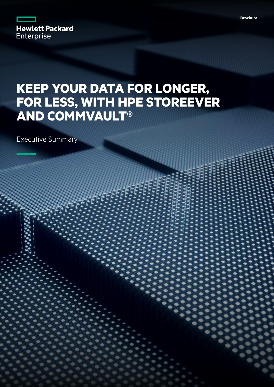

# **KEEP YOUR DATA FOR LONGER, FOR LESS, WITH HPE STOREEVER AND COMMVAULT®**

Executive Summary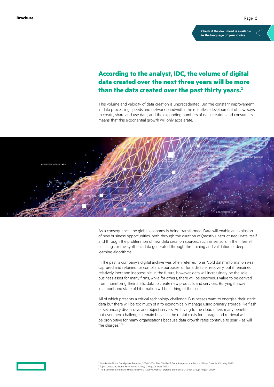**[Check if the document is available](https://psnow.ext.hpe.com/collection-resources/a00116966EEW)  in the language of your choice.**

# **According to the analyst, IDC, the volume of digital data created over the next three years will be more than the data created over the past thirty years.1**

This volume and velocity of data creation is unprecedented. But the constant improvement in data processing speeds and network bandwidth; the relentless development of new ways to create, share and use data; and the expanding numbers of data creators and consumers means that this exponential growth will only accelerate.



As a consequence, the global economy is being transformed. Data will enable an explosion of new business opportunities, both through the curation of (mostly unstructured) data itself and through the proliferation of new data creation sources, such as sensors in the Internet of Things or the synthetic data generated through the training and validation of deep learning algorithms.

In the past, a company's digital archive was often referred to as "cold data": information was captured and retained for compliance purposes, or for a disaster recovery, but it remained relatively inert and inaccessible. In the future, however, data will increasingly be the sole business asset for many firms, while for others, there will be enormous value to be derived from monetizing their static data to create new products and services. Burying it away in a moribund state of hibernation will be a thing of the past.

All of which presents a critical technology challenge. Businesses want to energise their static data but there will be too much of it to economically manage using primary storage like flash or secondary disk arrays and object servers. Archiving to the cloud offers many benefits but even here challenges remain because the rental costs for storage and retrieval will be prohibitive for many organisations because data growth rates continue to soar – as will the charges  $2,3$ 



1 Worldwide Global DataSphere Forecast, 2020–2024: The COVID-19 Data Bump and the Future of Data Growth, IDC, May 2020 2 Tape Landscape Study, Enterprise Strategy Group, October 2020 <sup>3</sup>The Economic Benefits of HPE StoreEver as Active Archival Storage, Enterprise Strategy Group, August 2020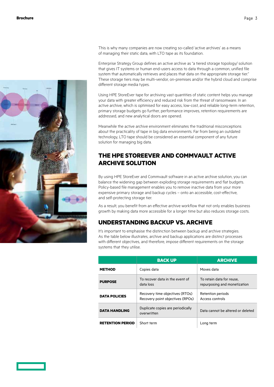

This is why many companies are now creating so-called 'active archives' as a means of managing their static data, with LTO tape as its foundation.

Enterprise Strategy Group defines an active archive as "a tiered storage topology/ solution that gives IT systems or human end-users access to data through a common, unified file system that automatically retrieves and places that data on the appropriate storage tier." These storage tiers may be multi-vendor, on-premises and/or the hybrid cloud and comprise different storage media types.

Using HPE StoreEver tape for archiving vast quantities of static content helps you manage your data with greater efficiency and reduced risk from the threat of ransomware. In an active archive, which is optimised for easy access, low-cost, and reliable long-term retention, primary storage budgets go further, performance improves, retention requirements are addressed, and new analytical doors are opened.

Meanwhile the active archive environment eliminates the traditional misconceptions about the practicality of tape in big data environments. Far from being an outdated technology, LTO tape should be considered an essential component of any future solution for managing big data.

# **THE HPE STOREEVER AND COMMVAULT ACTIVE ARCHIVE SOLUTION**

By using HPE StoreEver and Commvault software in an active archive solution, you can balance the widening gap between exploding storage requirements and flat budgets. Policy-based file management enables you to remove inactive data from your more expensive primary storage and backup cycles – onto an accessible, cost-effective, and self-protecting storage tier.

As a result, you benefit from an effective archive workflow that not only enables business growth by making data more accessible for a longer time but also reduces storage costs.

### **UNDERSTANDING BACKUP VS. ARCHIVE**

It's important to emphasise the distinction between backup and archive strategies. As the table below illustrates, archive and backup applications are distinct processes with different objectives, and therefore, impose different requirements on the storage systems that they utilise.

|                         | <b>BACK UP</b>                                                      | <b>ARCHIVE</b>                                            |
|-------------------------|---------------------------------------------------------------------|-----------------------------------------------------------|
| <b>METHOD</b>           | Copies data                                                         | Moves data                                                |
| <b>PURPOSE</b>          | To recover data in the event of<br>data loss                        | To retain data for reuse,<br>repurposing and monetization |
| <b>DATA POLICIES</b>    | Recovery time objectives (RTOs)<br>Recovery point objectives (RPOs) | Retention periods<br>Access controls                      |
| <b>DATA HANDLING</b>    | Duplicate copies are periodically<br>overwritten                    | Data cannot be altered or deleted                         |
| <b>RETENTION PERIOD</b> | Short term                                                          | Long term                                                 |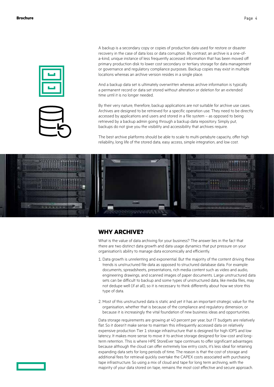



A backup is a secondary copy or copies of production data used for restore or disaster recovery in the case of data loss or data corruption. By contrast, an archive is a one-ofa-kind, unique instance of less frequently accessed information that has been moved off primary production disk to lower cost secondary or tertiary storage for data management or governance and regulatory compliance purposes. Backup copies may exist in multiple locations whereas an archive version resides in a single place.

And a backup data set is ultimately overwritten whereas archive information is typically a permanent record or data set stored without alteration or deletion for an extended time until it is no longer needed.

By their very nature, therefore, backup applications are not suitable for archive use cases. Archives are designed to be retrieved for a specific operation use. They need to be directly accessed by applications and users and stored in a file system – as opposed to being retrieved by a backup admin going through a backup data repository. Simply put, backups do not give you the visibility and accessibility that archives require.

The best archive platforms should be able to scale to multi-petabyte capacity, offer high reliability, long life of the stored data, easy access, simple integration, and low cost.



### **WHY ARCHIVE?**

What is the value of data archiving for your business? The answer lies in the fact that there are two distinct data growth and data usage dynamics that put pressure on your organisation's ability to manage data economically and efficiently.

- 1. Data growth is unrelenting and exponential. But the majority of the content driving these trends is unstructured file data as opposed to structured database data. For example: documents, spreadsheets, presentations, rich media content such as video and audio, engineering drawings, and scanned images of paper documents. Large unstructured data sets can be difficult to backup and some types of unstructured data, like media files, may not dedupe well (if at all), so it is necessary to think differently about how we store this type of data.
- 2. Most of this unstructured data is static and yet it has an important strategic value for the organisation, whether that is because of the compliance and regulatory dimension, or because it is increasingly the vital foundation of new business ideas and opportunities.

Data storage requirements are growing at 40 percent per year, but IT budgets are relatively flat. So it doesn't make sense to maintain this infrequently accessed data on relatively expensive production Tier 1 storage infrastructure that is designed for high IOPS and low latency. It makes more sense to move it to archive storage designed for low-cost and longterm retention. This is where HPE StoreEver tape continues to offer significant advantages because although the cloud can offer extremely low entry costs, it's less ideal for retaining expanding data sets for long periods of time. The reason is that the cost of storage and additional fees for retrieval quickly overtake the CAPEX costs associated with purchasing tape infrastructure. So using a mix of cloud and tape for long term archiving, with the majority of your data stored on tape, remains the most cost effective and secure approach.

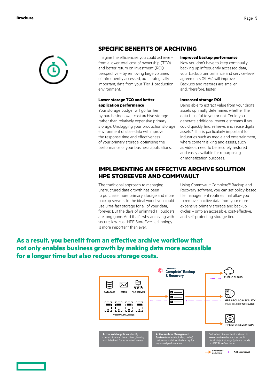

### **SPECIFIC BENEFITS OF ARCHIVING**

Imagine the efficiencies you could achieve – from a lower total cost of ownership (TCO) and better return on investment (ROI) perspective – by removing large volumes of infrequently accessed, but strategically important, data from your Tier 1 production environment.

### **Lower storage TCO and better application performance**

Your storage budget will go further by purchasing lower cost archive storage rather than relatively expensive primary storage. Unclogging your production storage environment of stale data will improve the response time and effectiveness of your primary storage, optimising the performance of your business applications.

### **Improved backup performance**

Now you don't have to keep continually backing up infrequently accessed data, your backup performance and service-level agreements (SLAs) will improve. Backups and restores are smaller and, therefore, faster.

### **Increased storage ROI**

Being able to extract value from your digital assets optimally determines whether the data is useful to you or not. Could you generate additional revenue streams if you could quickly find, retrieve, and reuse digital assets? This is particularly important for industries such as media and entertainment, where content is king and assets, such as videos, need to be securely restored and easily available for repurposing or monetization purposes.

### **IMPLEMENTING AN EFFECTIVE ARCHIVE SOLUTION HPE STOREEVER AND COMMVAULT**

The traditional approach to managing unstructured data growth has been to purchase more primary storage and more backup servers. In the ideal world, you could use ultra-fast storage for all of your data, forever. But the days of unlimited IT budgets are long gone. And that's why archiving with secure, low-cost HPE StoreEver technology is more important than ever.

Using Commvault Complete™ Backup and Recovery software, you can set policy-based file management routines that allow you to remove inactive data from your more expensive primary storage and backup cycles – onto an accessible, cost-effective, and self-protecting storage tier.

# **As a result, you benefit from an effective archive workflow that not only enables business growth by making data more accessible for a longer time but also reduces storage costs.**

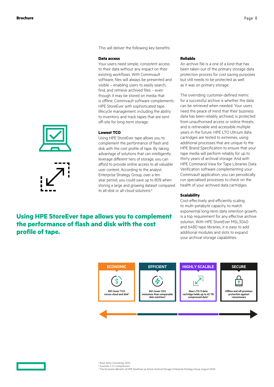This will deliver the following key benefits:

#### **Data access**

Your users need simple, consistent access to their data without any impact on their existing workflows. With Commvault software, files will always be presented and visible – enabling users to easily search, find, and retrieve archived files – even though it may be stored on media that is offline. Commvault software complements HPE StoreEver with sophisticated tape lifecycle management, including the ability to inventory and track tapes that are sent off-site for long-term storage.

#### **Lowest TCO**

Using HPE StoreEver tape allows you to complement the performance of flash and disk with the cost profile of tape. By taking advantage of solutions that can intelligently leverage different tiers of storage, you can afford to provide online access to all valuable user content. According to the analyst, Enterprise Strategy Group, over a ten year period, you could save up to 80% when storing a large and growing dataset compared to all-disk or all-cloud solutions.<sup>6</sup>

# **Using HPE StoreEver tape allows you to complement the performance of flash and disk with the cost profile of tape.**

### **Reliable**

An archive file is a one of a kind that has been taken out of the primary storage data protection process for cost saving purposes but still needs to be protected as well as it was on primary storage.

The overriding customer-defined metric for a successful archive is whether the data can be retrieved when needed. Your users need the peace of mind that their business data has been reliably archived, is protected from unauthorised access or online threats and is retrievable and accessible multiple years in the future. HPE LTO Ultrium data cartridges are tested to extremes, using additional processes that are unique to the HPE Brand Specification to ensure that your tape media will perform reliably for up to thirty years of archival storage. And with HPE Command View for Tape Libraries Data Verification software complementing your Commvault application, you can periodically run specialised processes to check on the health of your archived data cartridges.

#### **Scalability**

Cost-effectively and efficiently scaling to multi-petabyte capacity, to match exponential long-term data retention growth, is a top requirement for any effective archive solution. With HPE StoreEver MSL3040 and 6480 tape libraries, it is easy to add additional modules and slots to expand your archival storage capabilities.





4 Brad Johns Consulting, 2021

5 Assumes 2.5:1 compression 6 The Economic Benefits of HPE StoreEver as Active Archival Storage, Enterprise Strategy Group, August 2020



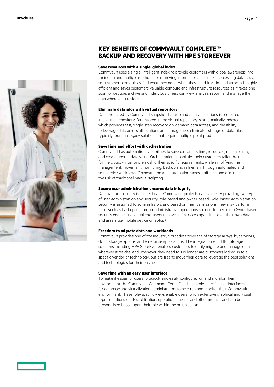

### **KEY BENEFITS OF COMMVAULT COMPLETE ™ BACKUP AND RECOVERY WITH HPE STOREEVER**

#### **Save resources with a single, global index**

Commvault uses a single, intelligent index to provide customers with global awareness into their data and multiple methods for retrieving information. This makes accessing data easy, so customers can quickly find what they need, when they need it. A single data scan is highly efficient and saves customers valuable compute and infrastructure resources as it takes one scan for dedupe, archive and index. Customers can view, analyse, report, and manage their data wherever it resides.

#### **Eliminate data silos with virtual repository**

Data protected by Commvault snapshot, backup and archive solutions is protected in a virtual repository. Data stored in the virtual repository is automatically indexed, which provides fast, single-step recovery, on-demand data access, and the ability to leverage data across all locations and storage tiers eliminates storage or data silos typically found in legacy solutions that require multiple point products.

### **Save time and effort with orchestration**

Commvault has automation capabilities to save customers time, resources, minimise risk, and create greater data value. Orchestration capabilities help customers tailor their use for the cloud, virtual or physical to their specific requirements, while simplifying the management, movement, monitoring, backup and retirement through automated and self-service workflows. Orchestration and automation saves staff time and eliminates the risk of traditional manual scripting.

### **Secure user administration ensures data integrity**

Data without security is suspect data. Commvault protects data value by providing two types of user administration and security; role-based and owner-based. Role-based administration security is assigned to administrators and based on their permissions, they may perform tasks such as backup, restore, or administrative operations specific to their role. Owner-based security enables individual end-users to have self-service capabilities over their own data and assets (i.e. mobile device or laptop).

#### **Freedom to migrate data and workloads**

Commvault provides one of the industry's broadest coverage of storage arrays, hypervisors, cloud storage options, and enterprise applications. The integration with HPE Storage solutions including HPE StoreEver enables customers to easily migrate and manage data wherever it resides, and whenever they need to. No longer are customers locked-in to a specific vendor or technology, but are free to move their data to leverage the best solutions and technologies for their business.

#### **Save time with an easy user interface**

To make it easier for users to quickly and easily configure, run and monitor their environment, the Commvault Command Center™ includes role-specific user interfaces for database and virtualization administrators to help run and monitor their Commvault environment. These role-specific views enable users to run extensive graphical and visual representations of KPIs, utilisation, operational health and other metrics, and can be personalised based upon their role within the organisation.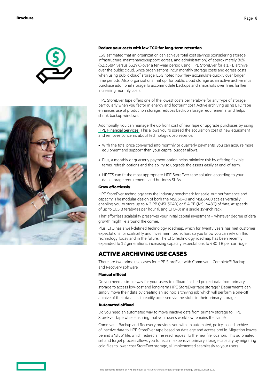



### **Reduce your costs with low TCO for long-term retention**

ESG estimated that an organization can achieve total cost savings (considering storage, infrastructure, maintenance/support, egress, and administration) of approximately 86% (\$2.358M versus \$329K) over a ten-year period using HPE StoreEver for a 1 PB archive over the public cloud. Since organizations incur monthly storage costs and egress costs when using public cloud<sup>7</sup> storage, ESG noted how they accumulate quickly over longer time periods. Also, organizations that opt for public cloud storage as an active archive must purchase additional storage to accommodate backups and snapshots over time, further increasing monthly costs.

HPE StoreEver tape offers one of the lowest costs per terabyte for any type of storage, particularly when you factor in energy and footprint cost. Active archiving using LTO tape enhances use of production storage, reduces backup storage requirements, and helps shrink backup windows.

Additionally, you can manage the up front cost of new tape or upgrade purchases by using [HPE Financial Services.](https://www.hpe.com/uk/en/services/financial-services.html) This allows you to spread the acquisition cost of new equipment and removes concerns about technology obsolescence.

- With the total price converted into monthly or quarterly payments, you can acquire more equipment and support than your capital budget allows.
- Plus, a monthly or quarterly payment option helps minimize risk by offering flexible terms, refresh options and the ability to upgrade the assets easily at end-of-term.
- HPEFS can fit the most appropriate HPE StoreEver tape solution according to your data storage requirements and business SLAs.

### **Grow effortlessly**

HPE StoreEver technology sets the industry benchmark for scale-out performance and capacity. The modular design of both the MSL3040 and MSL6480 scales vertically enabling you to store up to 4.2 PB (MSL3040) or 8.4 PB (MSL6480) of data, at speeds of up to 105.8 terabytes per hour (using LTO-8) in a single 19-inch rack.

That effortless scalability preserves your initial capital investment – whatever degree of data growth might lie around the corner.

Plus, LTO has a well-defined technology roadmap, which for twenty years has met customer expectations for scalability and investment protection; so you know you can rely on this technology today and in the future. The LTO technology roadmap has been recently expanded to 12 generations, increasing capacity expectations to 480 TB per cartridge.

# **ACTIVE ARCHIVING USE CASES**

There are two prime use cases for HPE StoreEver with Commvault Complete™ Backup and Recovery software.

### **Manual offload**

Do you need a simple way for your users to offload finished project data from primary storage to access low-cost and long-term HPE StoreEver tape storage? Departments can simply move their data by creating an 'ad hoc' archiving job which will perform a one-off archive of their data – still readily accessed via the stubs in their primary storage.

### **Automated offload**

Do you need an automated way to move inactive data from primary storage to HPE StoreEver tape while ensuring that your user's workflow remains the same?

Commvault Backup and Recovery provides you with an automated, policy-based archive of inactive data to HPE StoreEver tape based on data age and access profile. Migration leaves behind a "stub" file, which redirects the read request to the new file location. This automated set and forget process allows you to reclaim expensive primary storage capacity by migrating cold files to lower cost StoreEver storage, all implemented seamlessly to your users.